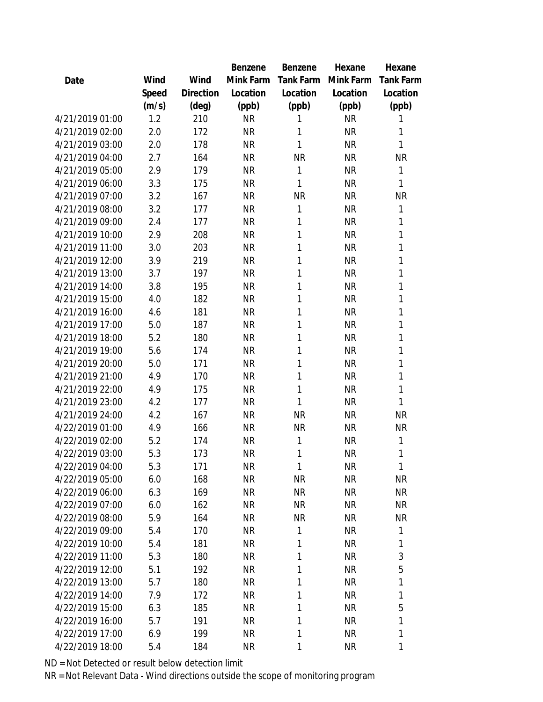|                 |       |           | Benzene   | Benzene   | Hexane    | Hexane           |
|-----------------|-------|-----------|-----------|-----------|-----------|------------------|
| Date            | Wind  | Wind      | Mink Farm | Tank Farm | Mink Farm | <b>Tank Farm</b> |
|                 | Speed | Direction | Location  | Location  | Location  | Location         |
|                 | (m/s) | (deg)     | (ppb)     | (ppb)     | (ppb)     | (ppb)            |
| 4/21/2019 01:00 | 1.2   | 210       | <b>NR</b> | 1         | <b>NR</b> | 1                |
| 4/21/2019 02:00 | 2.0   | 172       | <b>NR</b> | 1         | <b>NR</b> | 1                |
| 4/21/2019 03:00 | 2.0   | 178       | <b>NR</b> | 1         | <b>NR</b> | 1                |
| 4/21/2019 04:00 | 2.7   | 164       | <b>NR</b> | <b>NR</b> | <b>NR</b> | <b>NR</b>        |
| 4/21/2019 05:00 | 2.9   | 179       | <b>NR</b> | 1         | <b>NR</b> | 1                |
| 4/21/2019 06:00 | 3.3   | 175       | <b>NR</b> | 1         | <b>NR</b> | 1                |
| 4/21/2019 07:00 | 3.2   | 167       | <b>NR</b> | <b>NR</b> | <b>NR</b> | <b>NR</b>        |
| 4/21/2019 08:00 | 3.2   | 177       | <b>NR</b> | 1         | <b>NR</b> | 1                |
| 4/21/2019 09:00 | 2.4   | 177       | <b>NR</b> | 1         | <b>NR</b> | 1                |
| 4/21/2019 10:00 | 2.9   | 208       | <b>NR</b> | 1         | <b>NR</b> | 1                |
| 4/21/2019 11:00 | 3.0   | 203       | <b>NR</b> | 1         | <b>NR</b> | 1                |
| 4/21/2019 12:00 | 3.9   | 219       | <b>NR</b> | 1         | <b>NR</b> | 1                |
| 4/21/2019 13:00 | 3.7   | 197       | <b>NR</b> | 1         | <b>NR</b> | 1                |
| 4/21/2019 14:00 | 3.8   | 195       | <b>NR</b> | 1         | <b>NR</b> | 1                |
| 4/21/2019 15:00 | 4.0   | 182       | <b>NR</b> | 1         | <b>NR</b> | 1                |
| 4/21/2019 16:00 | 4.6   | 181       | <b>NR</b> | 1         | <b>NR</b> | 1                |
| 4/21/2019 17:00 | 5.0   | 187       | <b>NR</b> | 1         | <b>NR</b> | 1                |
| 4/21/2019 18:00 | 5.2   | 180       | <b>NR</b> | 1         | <b>NR</b> | 1                |
| 4/21/2019 19:00 | 5.6   | 174       | <b>NR</b> | 1         | <b>NR</b> | 1                |
| 4/21/2019 20:00 | 5.0   | 171       | <b>NR</b> | 1         | <b>NR</b> | 1                |
| 4/21/2019 21:00 | 4.9   | 170       | <b>NR</b> | 1         | <b>NR</b> | 1                |
| 4/21/2019 22:00 | 4.9   | 175       | <b>NR</b> | 1         | <b>NR</b> | 1                |
| 4/21/2019 23:00 | 4.2   | 177       | <b>NR</b> | 1         | <b>NR</b> | 1                |
| 4/21/2019 24:00 | 4.2   | 167       | <b>NR</b> | <b>NR</b> | <b>NR</b> | <b>NR</b>        |
| 4/22/2019 01:00 | 4.9   | 166       | <b>NR</b> | <b>NR</b> | <b>NR</b> | <b>NR</b>        |
| 4/22/2019 02:00 | 5.2   | 174       | <b>NR</b> | 1         | <b>NR</b> | 1                |
| 4/22/2019 03:00 | 5.3   | 173       | <b>NR</b> | 1         | <b>NR</b> | 1                |
| 4/22/2019 04:00 | 5.3   | 171       | <b>NR</b> | 1         | NR        | $\mathbf{1}$     |
| 4/22/2019 05:00 | 6.0   | 168       | <b>NR</b> | <b>NR</b> | <b>NR</b> | <b>NR</b>        |
| 4/22/2019 06:00 | 6.3   | 169       | <b>NR</b> | <b>NR</b> | <b>NR</b> | <b>NR</b>        |
| 4/22/2019 07:00 | 6.0   | 162       | <b>NR</b> | <b>NR</b> | <b>NR</b> | <b>NR</b>        |
| 4/22/2019 08:00 | 5.9   | 164       | <b>NR</b> | <b>NR</b> | <b>NR</b> | <b>NR</b>        |
| 4/22/2019 09:00 | 5.4   | 170       | <b>NR</b> | 1         | <b>NR</b> | 1                |
| 4/22/2019 10:00 | 5.4   | 181       | <b>NR</b> | 1         | <b>NR</b> | 1                |
| 4/22/2019 11:00 | 5.3   | 180       | <b>NR</b> | 1         | <b>NR</b> | 3                |
| 4/22/2019 12:00 | 5.1   | 192       | <b>NR</b> | 1         | <b>NR</b> | 5                |
| 4/22/2019 13:00 | 5.7   | 180       | <b>NR</b> | 1         | <b>NR</b> | 1                |
| 4/22/2019 14:00 | 7.9   | 172       | <b>NR</b> | 1         | <b>NR</b> | 1                |
| 4/22/2019 15:00 | 6.3   | 185       | <b>NR</b> | 1         | <b>NR</b> | 5                |
| 4/22/2019 16:00 | 5.7   | 191       | <b>NR</b> | 1         | NR        | 1                |
| 4/22/2019 17:00 | 6.9   | 199       | <b>NR</b> | 1         | <b>NR</b> | 1                |
| 4/22/2019 18:00 | 5.4   | 184       | <b>NR</b> | 1         | <b>NR</b> | 1                |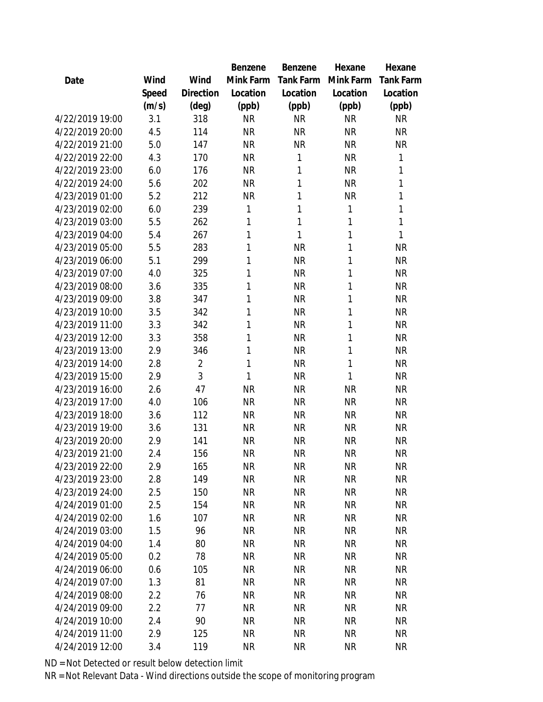|                 |       |                | Benzene   | Benzene   | Hexane       | Hexane           |
|-----------------|-------|----------------|-----------|-----------|--------------|------------------|
| Date            | Wind  | Wind           | Mink Farm | Tank Farm | Mink Farm    | <b>Tank Farm</b> |
|                 | Speed | Direction      | Location  | Location  | Location     | Location         |
|                 | (m/s) | $(\text{deg})$ | (ppb)     | (ppb)     | (ppb)        | (ppb)            |
| 4/22/2019 19:00 | 3.1   | 318            | <b>NR</b> | <b>NR</b> | <b>NR</b>    | <b>NR</b>        |
| 4/22/2019 20:00 | 4.5   | 114            | <b>NR</b> | <b>NR</b> | <b>NR</b>    | <b>NR</b>        |
| 4/22/2019 21:00 | 5.0   | 147            | <b>NR</b> | <b>NR</b> | <b>NR</b>    | <b>NR</b>        |
| 4/22/2019 22:00 | 4.3   | 170            | <b>NR</b> | 1         | <b>NR</b>    | 1                |
| 4/22/2019 23:00 | 6.0   | 176            | <b>NR</b> | 1         | <b>NR</b>    | 1                |
| 4/22/2019 24:00 | 5.6   | 202            | <b>NR</b> | 1         | <b>NR</b>    | 1                |
| 4/23/2019 01:00 | 5.2   | 212            | <b>NR</b> | 1         | <b>NR</b>    | 1                |
| 4/23/2019 02:00 | 6.0   | 239            | 1         | 1         | $\mathbf{1}$ | 1                |
| 4/23/2019 03:00 | 5.5   | 262            | 1         | 1         | 1            | 1                |
| 4/23/2019 04:00 | 5.4   | 267            | 1         | 1         | $\mathbf{1}$ | 1                |
| 4/23/2019 05:00 | 5.5   | 283            | 1         | <b>NR</b> | 1            | <b>NR</b>        |
| 4/23/2019 06:00 | 5.1   | 299            | 1         | <b>NR</b> | 1            | <b>NR</b>        |
| 4/23/2019 07:00 | 4.0   | 325            | 1         | <b>NR</b> | 1            | <b>NR</b>        |
| 4/23/2019 08:00 | 3.6   | 335            | 1         | <b>NR</b> | 1            | <b>NR</b>        |
| 4/23/2019 09:00 | 3.8   | 347            | 1         | <b>NR</b> | 1            | <b>NR</b>        |
| 4/23/2019 10:00 | 3.5   | 342            | 1         | <b>NR</b> | 1            | <b>NR</b>        |
| 4/23/2019 11:00 | 3.3   | 342            | 1         | <b>NR</b> | 1            | <b>NR</b>        |
| 4/23/2019 12:00 | 3.3   | 358            | 1         | <b>NR</b> | 1            | <b>NR</b>        |
| 4/23/2019 13:00 | 2.9   | 346            | 1         | <b>NR</b> | 1            | <b>NR</b>        |
| 4/23/2019 14:00 | 2.8   | $\overline{2}$ | 1         | <b>NR</b> | 1            | <b>NR</b>        |
| 4/23/2019 15:00 | 2.9   | 3              | 1         | <b>NR</b> | $\mathbf{1}$ | <b>NR</b>        |
| 4/23/2019 16:00 | 2.6   | 47             | <b>NR</b> | <b>NR</b> | <b>NR</b>    | <b>NR</b>        |
| 4/23/2019 17:00 | 4.0   | 106            | <b>NR</b> | <b>NR</b> | <b>NR</b>    | <b>NR</b>        |
| 4/23/2019 18:00 | 3.6   | 112            | <b>NR</b> | <b>NR</b> | <b>NR</b>    | <b>NR</b>        |
| 4/23/2019 19:00 | 3.6   | 131            | <b>NR</b> | <b>NR</b> | <b>NR</b>    | <b>NR</b>        |
| 4/23/2019 20:00 | 2.9   | 141            | <b>NR</b> | <b>NR</b> | <b>NR</b>    | <b>NR</b>        |
| 4/23/2019 21:00 | 2.4   | 156            | <b>NR</b> | <b>NR</b> | <b>NR</b>    | <b>NR</b>        |
| 4/23/2019 22:00 | 2.9   | 165            | <b>NR</b> | <b>NR</b> | NR           | <b>NR</b>        |
| 4/23/2019 23:00 | 2.8   | 149            | <b>NR</b> | <b>NR</b> | <b>NR</b>    | <b>NR</b>        |
| 4/23/2019 24:00 | 2.5   | 150            | <b>NR</b> | <b>NR</b> | <b>NR</b>    | <b>NR</b>        |
| 4/24/2019 01:00 | 2.5   | 154            | <b>NR</b> | <b>NR</b> | <b>NR</b>    | <b>NR</b>        |
| 4/24/2019 02:00 | 1.6   | 107            | <b>NR</b> | <b>NR</b> | <b>NR</b>    | <b>NR</b>        |
| 4/24/2019 03:00 | 1.5   | 96             | <b>NR</b> | <b>NR</b> | <b>NR</b>    | <b>NR</b>        |
| 4/24/2019 04:00 | 1.4   | 80             | <b>NR</b> | <b>NR</b> | <b>NR</b>    | <b>NR</b>        |
| 4/24/2019 05:00 | 0.2   | 78             | <b>NR</b> | <b>NR</b> | <b>NR</b>    | <b>NR</b>        |
| 4/24/2019 06:00 | 0.6   | 105            | <b>NR</b> | <b>NR</b> | <b>NR</b>    | <b>NR</b>        |
| 4/24/2019 07:00 | 1.3   | 81             | <b>NR</b> | <b>NR</b> | <b>NR</b>    | <b>NR</b>        |
| 4/24/2019 08:00 | 2.2   | 76             | <b>NR</b> | <b>NR</b> | <b>NR</b>    | <b>NR</b>        |
| 4/24/2019 09:00 | 2.2   | 77             | <b>NR</b> | <b>NR</b> | <b>NR</b>    | <b>NR</b>        |
| 4/24/2019 10:00 | 2.4   | 90             | <b>NR</b> | <b>NR</b> | <b>NR</b>    | <b>NR</b>        |
| 4/24/2019 11:00 | 2.9   | 125            | <b>NR</b> | <b>NR</b> | <b>NR</b>    | <b>NR</b>        |
| 4/24/2019 12:00 | 3.4   | 119            | <b>NR</b> | <b>NR</b> | <b>NR</b>    | <b>NR</b>        |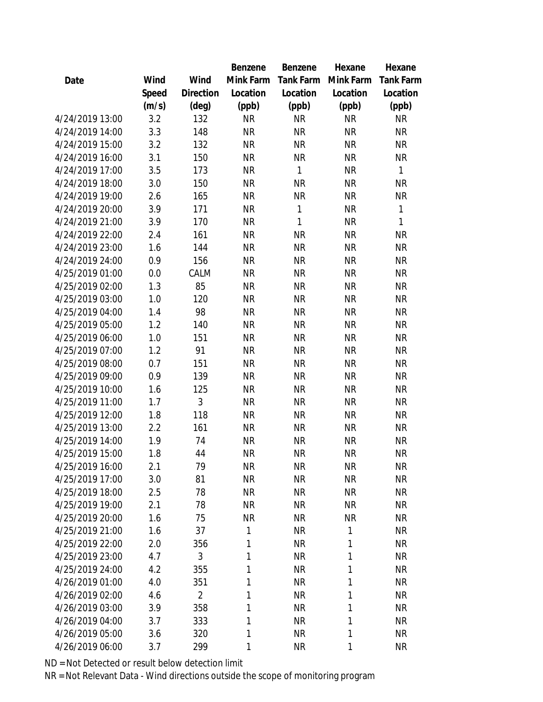|                 |       |                | Benzene   | Benzene     | Hexane    | Hexane       |
|-----------------|-------|----------------|-----------|-------------|-----------|--------------|
| Date            | Wind  | Wind           | Mink Farm | Tank Farm   | Mink Farm | Tank Farm    |
|                 | Speed | Direction      | Location  | Location    | Location  | Location     |
|                 | (m/s) | (deg)          | (ppb)     | (ppb)       | (ppb)     | (ppb)        |
| 4/24/2019 13:00 | 3.2   | 132            | <b>NR</b> | <b>NR</b>   | <b>NR</b> | <b>NR</b>    |
| 4/24/2019 14:00 | 3.3   | 148            | <b>NR</b> | <b>NR</b>   | <b>NR</b> | <b>NR</b>    |
| 4/24/2019 15:00 | 3.2   | 132            | <b>NR</b> | <b>NR</b>   | <b>NR</b> | <b>NR</b>    |
| 4/24/2019 16:00 | 3.1   | 150            | <b>NR</b> | <b>NR</b>   | <b>NR</b> | <b>NR</b>    |
| 4/24/2019 17:00 | 3.5   | 173            | <b>NR</b> | $\mathbf 1$ | <b>NR</b> | $\mathbf{1}$ |
| 4/24/2019 18:00 | 3.0   | 150            | <b>NR</b> | <b>NR</b>   | <b>NR</b> | <b>NR</b>    |
| 4/24/2019 19:00 | 2.6   | 165            | <b>NR</b> | <b>NR</b>   | <b>NR</b> | <b>NR</b>    |
| 4/24/2019 20:00 | 3.9   | 171            | <b>NR</b> | 1           | <b>NR</b> | $\mathbf{1}$ |
| 4/24/2019 21:00 | 3.9   | 170            | <b>NR</b> | 1           | <b>NR</b> | $\mathbf{1}$ |
| 4/24/2019 22:00 | 2.4   | 161            | <b>NR</b> | <b>NR</b>   | <b>NR</b> | <b>NR</b>    |
| 4/24/2019 23:00 | 1.6   | 144            | <b>NR</b> | <b>NR</b>   | <b>NR</b> | <b>NR</b>    |
| 4/24/2019 24:00 | 0.9   | 156            | <b>NR</b> | <b>NR</b>   | <b>NR</b> | <b>NR</b>    |
| 4/25/2019 01:00 | 0.0   | CALM           | <b>NR</b> | <b>NR</b>   | <b>NR</b> | <b>NR</b>    |
| 4/25/2019 02:00 | 1.3   | 85             | <b>NR</b> | <b>NR</b>   | <b>NR</b> | <b>NR</b>    |
| 4/25/2019 03:00 | 1.0   | 120            | <b>NR</b> | <b>NR</b>   | <b>NR</b> | <b>NR</b>    |
| 4/25/2019 04:00 | 1.4   | 98             | <b>NR</b> | <b>NR</b>   | <b>NR</b> | <b>NR</b>    |
| 4/25/2019 05:00 | 1.2   | 140            | <b>NR</b> | <b>NR</b>   | <b>NR</b> | <b>NR</b>    |
| 4/25/2019 06:00 | 1.0   | 151            | <b>NR</b> | <b>NR</b>   | <b>NR</b> | <b>NR</b>    |
| 4/25/2019 07:00 | 1.2   | 91             | <b>NR</b> | <b>NR</b>   | <b>NR</b> | <b>NR</b>    |
| 4/25/2019 08:00 | 0.7   | 151            | <b>NR</b> | <b>NR</b>   | <b>NR</b> | <b>NR</b>    |
| 4/25/2019 09:00 | 0.9   | 139            | <b>NR</b> | <b>NR</b>   | <b>NR</b> | <b>NR</b>    |
| 4/25/2019 10:00 | 1.6   | 125            | <b>NR</b> | <b>NR</b>   | <b>NR</b> | <b>NR</b>    |
| 4/25/2019 11:00 | 1.7   | 3              | <b>NR</b> | <b>NR</b>   | <b>NR</b> | <b>NR</b>    |
| 4/25/2019 12:00 | 1.8   | 118            | <b>NR</b> | <b>NR</b>   | <b>NR</b> | <b>NR</b>    |
| 4/25/2019 13:00 | 2.2   | 161            | <b>NR</b> | <b>NR</b>   | <b>NR</b> | <b>NR</b>    |
| 4/25/2019 14:00 | 1.9   | 74             | <b>NR</b> | <b>NR</b>   | <b>NR</b> | <b>NR</b>    |
| 4/25/2019 15:00 | 1.8   | 44             | <b>NR</b> | <b>NR</b>   | <b>NR</b> | <b>NR</b>    |
| 4/25/2019 16:00 | 2.1   | 79             | <b>NR</b> | <b>NR</b>   | <b>NR</b> | <b>NR</b>    |
| 4/25/2019 17:00 | 3.0   | 81             | <b>NR</b> | <b>NR</b>   | <b>NR</b> | <b>NR</b>    |
| 4/25/2019 18:00 | 2.5   | 78             | <b>NR</b> | <b>NR</b>   | <b>NR</b> | <b>NR</b>    |
| 4/25/2019 19:00 | 2.1   | 78             | <b>NR</b> | <b>NR</b>   | <b>NR</b> | <b>NR</b>    |
| 4/25/2019 20:00 | 1.6   | 75             | <b>NR</b> | <b>NR</b>   | <b>NR</b> | <b>NR</b>    |
| 4/25/2019 21:00 | 1.6   | 37             | 1         | <b>NR</b>   | 1         | <b>NR</b>    |
| 4/25/2019 22:00 | 2.0   | 356            | 1         | <b>NR</b>   | 1         | <b>NR</b>    |
| 4/25/2019 23:00 | 4.7   | 3              | 1         | <b>NR</b>   | 1         | <b>NR</b>    |
| 4/25/2019 24:00 | 4.2   | 355            | 1         | <b>NR</b>   | 1         | <b>NR</b>    |
| 4/26/2019 01:00 | 4.0   | 351            | 1         | <b>NR</b>   | 1         | <b>NR</b>    |
| 4/26/2019 02:00 | 4.6   | $\overline{2}$ | 1         | <b>NR</b>   | 1         | <b>NR</b>    |
| 4/26/2019 03:00 | 3.9   | 358            | 1         | <b>NR</b>   | 1         | <b>NR</b>    |
| 4/26/2019 04:00 | 3.7   | 333            | 1         | <b>NR</b>   | 1         | <b>NR</b>    |
| 4/26/2019 05:00 | 3.6   | 320            | 1         | <b>NR</b>   | 1         | <b>NR</b>    |
| 4/26/2019 06:00 | 3.7   | 299            | 1         | <b>NR</b>   | 1         | <b>NR</b>    |